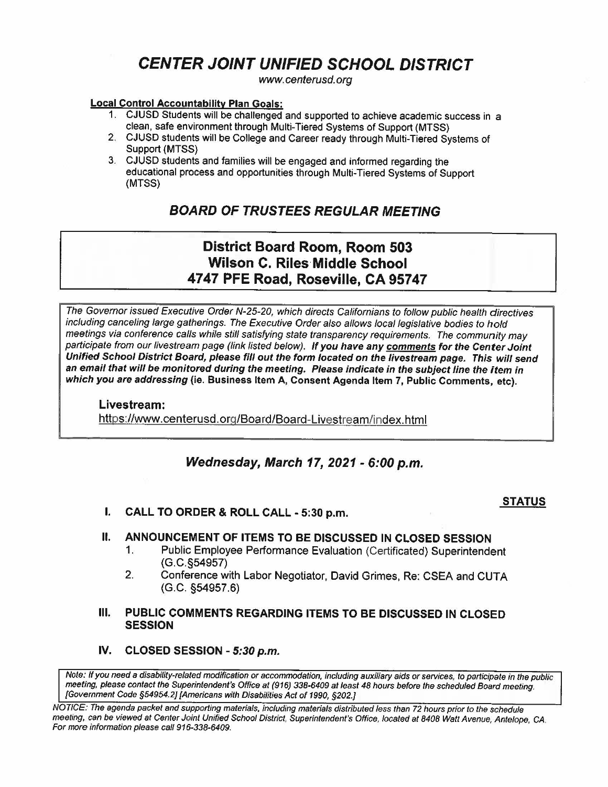# **CENTER JOINT UNIFIED SCHOOL DISTRICT**

www.centerusd.org

#### **Local Control Accountability Plan Goals:**

- 1. CJUSD Students will be challenged and supported to achieve academic success in a clean, safe environment through Multi-Tiered Systems of Support (MTSS}
- 2. CJUSO students will be College and Career ready through Multi-Tiered Systems of Support **(MTSS)**
- 3. CJUSO students and families will be engaged and informed regarding the educational process and opportunities through Multi-Tiered Systems of Support **(MTSS}**

## **BOARD OF TRUSTEES REGULAR MEETING**

## **District Board Room, Room 503 Wilson C. Riles-Middle School 4747 PFE Road, Roseville, CA 95747**

The Governor issued Executive Order N-25-20, which directs Californians to follow public health directives including canceling large gatherings. The Executive Order also allows local legislative bodies to hold meetings via conference calls while still satisfying state transparency requirements. The community may participate from our livestream page (fink listed below). *If* **you have any comments for the Center Joint Unified School District Board, please fill out the form located on the livestream page. This will send an email that will be monitored during the meeting. Please indicate in the subject line the item in which you are addressing (ie. Business Item A, Consent Agenda Item 7, Public Comments, etc).** 

**Livestream:**  https://www.centerusd.org/Board/Board-Livestream/index.html

## **Wednesday, March 17, 2021** - **6:00 p.m.**

### **STATUS**

I. **CALL TO ORDER** & **ROLL CALL** - **5:30 p.m.** 

### II. **ANNOUNCEMENT OF ITEMS TO BE DISCUSSED IN CLOSED SESSION**

- 1. Public Employee Performance Evaluation (Certificated) Superintendent (G.C.§54957)
- 2. Conference with Labor Negotiator, David Grimes, Re: CSEA and CUTA (G.C. §54957.6)
- Ill. **PUBLIC COMMENTS REGARDING ITEMS TO BE DISCUSSED IN CLOSED SESSION**
- **IV. CLOSED SESSION 5:30 p.m.**

Note: If you need a disability-related modification or accommodation, including auxiliary aids or services, to participate in the public meeting, please contact the Superintendent's Office at (916) 338-6409 al least 48 hours before the scheduled Board meeting. [Government Code §54954.2] [Americans with Disabilities Act of 1990, §202.J

NOTICE: The agenda packet and supporting materials, including materials distributed less than 72 hours prior to the schedule meeting. can be viewed at Center Joint Unified School District, Superintendent's Office. located at 8408 Watt Avenue. Antelope. CA. For more information please call 916-338-6409.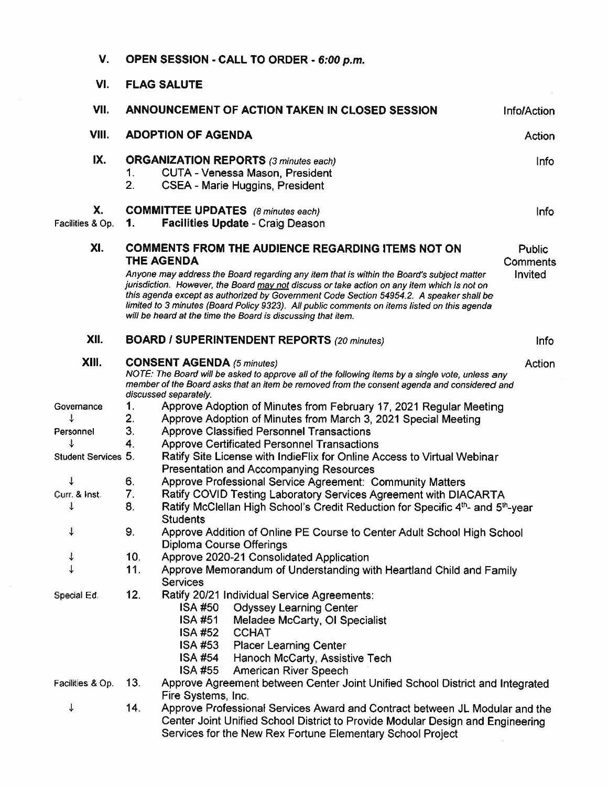| V.                     | OPEN SESSION - CALL TO ORDER - 6:00 p.m.                                                                                                                                                                                                                                |                                                                                                                                                                                                                                                                                                                                                                                                                                                     |                     |  |  |
|------------------------|-------------------------------------------------------------------------------------------------------------------------------------------------------------------------------------------------------------------------------------------------------------------------|-----------------------------------------------------------------------------------------------------------------------------------------------------------------------------------------------------------------------------------------------------------------------------------------------------------------------------------------------------------------------------------------------------------------------------------------------------|---------------------|--|--|
| VI.                    | <b>FLAG SALUTE</b>                                                                                                                                                                                                                                                      |                                                                                                                                                                                                                                                                                                                                                                                                                                                     |                     |  |  |
| VII.                   | ANNOUNCEMENT OF ACTION TAKEN IN CLOSED SESSION<br><b>Info/Action</b>                                                                                                                                                                                                    |                                                                                                                                                                                                                                                                                                                                                                                                                                                     |                     |  |  |
| VIII.                  | <b>ADOPTION OF AGENDA</b><br>Action                                                                                                                                                                                                                                     |                                                                                                                                                                                                                                                                                                                                                                                                                                                     |                     |  |  |
| IX.                    | <b>ORGANIZATION REPORTS</b> (3 minutes each)<br>Info<br>CUTA - Venessa Mason, President<br>1.<br>2.<br>CSEA - Marie Huggins, President                                                                                                                                  |                                                                                                                                                                                                                                                                                                                                                                                                                                                     |                     |  |  |
| X.<br>Facilities & Op. | 1.                                                                                                                                                                                                                                                                      | <b>COMMITTEE UPDATES</b> (8 minutes each)<br>Facilities Update - Craig Deason                                                                                                                                                                                                                                                                                                                                                                       | Info                |  |  |
| XI.                    | <b>COMMENTS FROM THE AUDIENCE REGARDING ITEMS NOT ON</b><br><b>THE AGENDA</b>                                                                                                                                                                                           |                                                                                                                                                                                                                                                                                                                                                                                                                                                     |                     |  |  |
|                        |                                                                                                                                                                                                                                                                         | Anyone may address the Board regarding any item that is within the Board's subject matter<br>jurisdiction. However, the Board may not discuss or take action on any item which is not on<br>this agenda except as authorized by Government Code Section 54954.2. A speaker shall be<br>limited to 3 minutes (Board Policy 9323). All public comments on items listed on this agenda<br>will be heard at the time the Board is discussing that item. | Comments<br>Invited |  |  |
| XII.                   |                                                                                                                                                                                                                                                                         | <b>BOARD / SUPERINTENDENT REPORTS (20 minutes)</b>                                                                                                                                                                                                                                                                                                                                                                                                  | Info                |  |  |
| XIII.                  | <b>CONSENT AGENDA (5 minutes)</b><br>Action<br>NOTE: The Board will be asked to approve all of the following items by a single vote, unless any<br>member of the Board asks that an item be removed from the consent agenda and considered and<br>discussed separately. |                                                                                                                                                                                                                                                                                                                                                                                                                                                     |                     |  |  |
| Governance             | $\mathbf{1}$ .                                                                                                                                                                                                                                                          | Approve Adoption of Minutes from February 17, 2021 Regular Meeting                                                                                                                                                                                                                                                                                                                                                                                  |                     |  |  |
| ↓                      | 2.                                                                                                                                                                                                                                                                      | Approve Adoption of Minutes from March 3, 2021 Special Meeting                                                                                                                                                                                                                                                                                                                                                                                      |                     |  |  |
| Personnel              | 3.                                                                                                                                                                                                                                                                      | <b>Approve Classified Personnel Transactions</b>                                                                                                                                                                                                                                                                                                                                                                                                    |                     |  |  |
|                        | 4.                                                                                                                                                                                                                                                                      | <b>Approve Certificated Personnel Transactions</b>                                                                                                                                                                                                                                                                                                                                                                                                  |                     |  |  |
| Student Services 5.    |                                                                                                                                                                                                                                                                         | Ratify Site License with IndieFlix for Online Access to Virtual Webinar                                                                                                                                                                                                                                                                                                                                                                             |                     |  |  |
|                        |                                                                                                                                                                                                                                                                         | <b>Presentation and Accompanying Resources</b>                                                                                                                                                                                                                                                                                                                                                                                                      |                     |  |  |
|                        | 6.                                                                                                                                                                                                                                                                      | Approve Professional Service Agreement: Community Matters                                                                                                                                                                                                                                                                                                                                                                                           |                     |  |  |
| Curr. & Inst.          | 7.                                                                                                                                                                                                                                                                      | Ratify COVID Testing Laboratory Services Agreement with DIACARTA                                                                                                                                                                                                                                                                                                                                                                                    |                     |  |  |
| ↓                      | 8.                                                                                                                                                                                                                                                                      | Ratify McClellan High School's Credit Reduction for Specific 4th- and 5th-year                                                                                                                                                                                                                                                                                                                                                                      |                     |  |  |
| ↓                      | 9.                                                                                                                                                                                                                                                                      | <b>Students</b>                                                                                                                                                                                                                                                                                                                                                                                                                                     |                     |  |  |
|                        |                                                                                                                                                                                                                                                                         | Approve Addition of Online PE Course to Center Adult School High School<br>Diploma Course Offerings                                                                                                                                                                                                                                                                                                                                                 |                     |  |  |
| $\ddot{\phantom{0}}$   | 10.                                                                                                                                                                                                                                                                     | Approve 2020-21 Consolidated Application                                                                                                                                                                                                                                                                                                                                                                                                            |                     |  |  |
|                        | 11.                                                                                                                                                                                                                                                                     | Approve Memorandum of Understanding with Heartland Child and Family                                                                                                                                                                                                                                                                                                                                                                                 |                     |  |  |
|                        |                                                                                                                                                                                                                                                                         | <b>Services</b>                                                                                                                                                                                                                                                                                                                                                                                                                                     |                     |  |  |
| Special Ed.            | 12.                                                                                                                                                                                                                                                                     | Ratify 20/21 Individual Service Agreements:<br><b>ISA #50</b><br><b>Odyssey Learning Center</b><br><b>ISA #51</b><br>Meladee McCarty, OI Specialist<br>ISA #52<br><b>CCHAT</b><br>ISA #53 Placer Learning Center<br>ISA #54 Hanoch McCarty, Assistive Tech                                                                                                                                                                                          |                     |  |  |
| Facilities & Op.       | 13.                                                                                                                                                                                                                                                                     | <b>ISA #55</b><br>American River Speech<br>Approve Agreement between Center Joint Unified School District and Integrated                                                                                                                                                                                                                                                                                                                            |                     |  |  |
| ↓                      | 14.                                                                                                                                                                                                                                                                     | Fire Systems, Inc.<br>Approve Professional Services Award and Contract between JL Modular and the<br>Center Joint Unified School District to Provide Modular Design and Engineering<br>Services for the New Rex Fortune Elementary School Project                                                                                                                                                                                                   |                     |  |  |